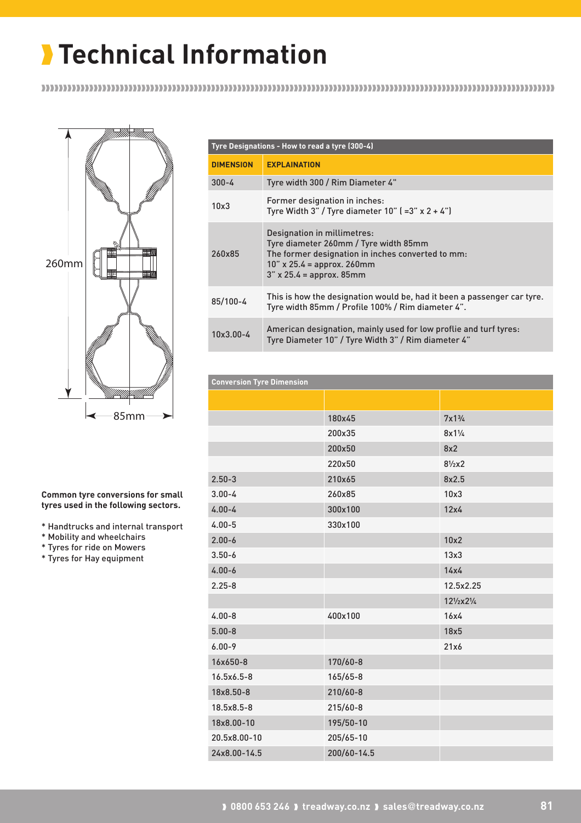

**Common tyre conversions for small tyres used in the following sectors.**

\* Handtrucks and internal transport

\* Mobility and wheelchairs

- \* Tyres for ride on Mowers
- \* Tyres for Hay equipment

|                  | Tyre Designations - How to read a tyre (300-4)                                                                                                                                            |  |  |  |  |  |  |  |
|------------------|-------------------------------------------------------------------------------------------------------------------------------------------------------------------------------------------|--|--|--|--|--|--|--|
| <b>DIMENSION</b> | <b>EXPLAINATION</b>                                                                                                                                                                       |  |  |  |  |  |  |  |
| $300 - 4$        | Tyre width 300 / Rim Diameter 4"                                                                                                                                                          |  |  |  |  |  |  |  |
| 10x3             | Former designation in inches:<br>Tyre Width 3" / Tyre diameter $10$ " ( $=3$ " x $2 + 4$ ")                                                                                               |  |  |  |  |  |  |  |
| 260x85           | Designation in millimetres:<br>Tyre diameter 260mm / Tyre width 85mm<br>The former designation in inches converted to mm:<br>$10''$ x 25.4 = approx. 260mm<br>$3''$ x 25.4 = approx. 85mm |  |  |  |  |  |  |  |
| 85/100-4         | This is how the designation would be, had it been a passenger car tyre.<br>Tyre width 85mm / Profile 100% / Rim diameter 4".                                                              |  |  |  |  |  |  |  |
| 10x3.00-4        | American designation, mainly used for low proflie and turf tyres:<br>Tyre Diameter 10" / Tyre Width 3" / Rim diameter 4"                                                                  |  |  |  |  |  |  |  |

| <b>Conversion Tyre Dimension</b> |              |                              |  |  |  |  |  |  |  |
|----------------------------------|--------------|------------------------------|--|--|--|--|--|--|--|
|                                  |              |                              |  |  |  |  |  |  |  |
|                                  | 180x45       | $7x1\frac{3}{4}$             |  |  |  |  |  |  |  |
|                                  | 200x35       | $8x1\frac{1}{4}$             |  |  |  |  |  |  |  |
|                                  | 200x50       | 8x2                          |  |  |  |  |  |  |  |
|                                  | 220x50       | $8\frac{1}{2}x2$             |  |  |  |  |  |  |  |
| $2.50 - 3$                       | 210x65       | 8x2.5                        |  |  |  |  |  |  |  |
| $3.00 - 4$                       | 260x85       | 10x3                         |  |  |  |  |  |  |  |
| $4.00 - 4$                       | 300x100      | 12x4                         |  |  |  |  |  |  |  |
| $4.00 - 5$                       | 330x100      |                              |  |  |  |  |  |  |  |
| $2.00 - 6$                       |              | 10x2                         |  |  |  |  |  |  |  |
| $3.50 - 6$                       |              | 13x3                         |  |  |  |  |  |  |  |
| $4.00 - 6$                       |              | 14x4                         |  |  |  |  |  |  |  |
| $2.25 - 8$                       |              | 12.5x2.25                    |  |  |  |  |  |  |  |
|                                  |              | $12\frac{1}{2}x2\frac{1}{4}$ |  |  |  |  |  |  |  |
| $4.00 - 8$                       | 400x100      | 16x4                         |  |  |  |  |  |  |  |
| $5.00 - 8$                       |              | 18x5                         |  |  |  |  |  |  |  |
| $6.00 - 9$                       |              | 21x6                         |  |  |  |  |  |  |  |
| 16x650-8                         | 170/60-8     |                              |  |  |  |  |  |  |  |
| 16.5x6.5-8                       | $165/65 - 8$ |                              |  |  |  |  |  |  |  |
| 18x8.50-8                        | $210/60 - 8$ |                              |  |  |  |  |  |  |  |
| 18.5x8.5-8                       | 215/60-8     |                              |  |  |  |  |  |  |  |
| 18x8.00-10                       | 195/50-10    |                              |  |  |  |  |  |  |  |
| 20.5x8.00-10                     | 205/65-10    |                              |  |  |  |  |  |  |  |
| 24x8.00-14.5                     | 200/60-14.5  |                              |  |  |  |  |  |  |  |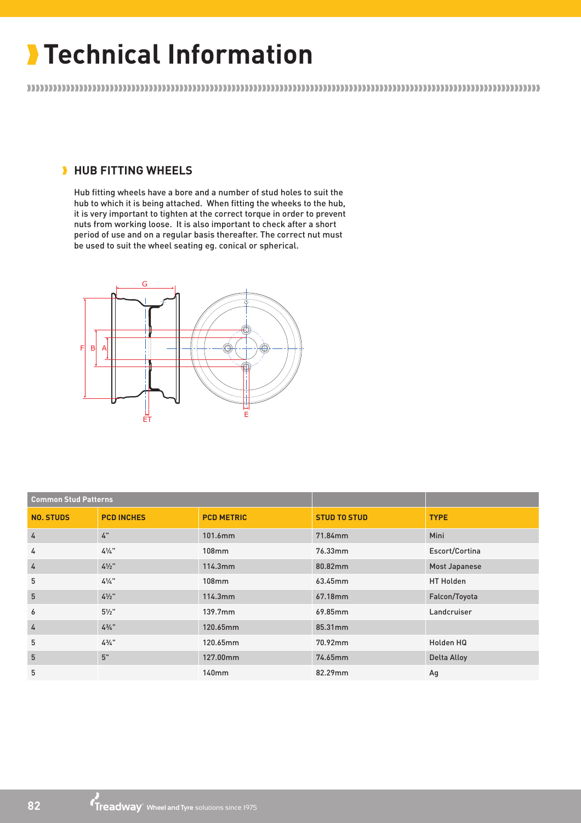### **HUB FITTING WHEELS**

Hub fitting wheels have a bore and a number of stud holes to suit the hub to which it is being attached. When fitting the wheeks to the hub, it is very important to tighten at the correct torque in order to prevent nuts from working loose. It is also important to check after a short period of use and on a regular basis thereafter. The correct nut must be used to suit the wheel seating eg. conical or spherical.



| <b>Common Stud Patterns</b> |                   |                   |                     |                  |  |  |
|-----------------------------|-------------------|-------------------|---------------------|------------------|--|--|
| <b>NO. STUDS</b>            | <b>PCD INCHES</b> | <b>PCD METRIC</b> | <b>STUD TO STUD</b> | <b>TYPE</b>      |  |  |
| 4                           | 4"                | 101.6mm           | 71.84mm             | Mini             |  |  |
| 4                           | $4\frac{1}{4}$    | 108mm             | 76.33mm             | Escort/Cortina   |  |  |
| 4                           | $4\frac{1}{2}$ "  | 114.3mm           | 80.82mm             | Most Japanese    |  |  |
| 5                           | $4\frac{1}{4}$    | 108mm             | 63.45mm             | <b>HT Holden</b> |  |  |
| 5                           | $4\frac{1}{2}$ "  | 114.3mm           | 67.18mm             | Falcon/Toyota    |  |  |
| 6                           | $5\frac{1}{2}$ "  | 139.7mm           | 69.85mm             | Landcruiser      |  |  |
| 4                           | $4\frac{3}{4}$ "  | 120.65mm          | 85.31mm             |                  |  |  |
| 5                           | $4\frac{3}{4}$ "  | 120.65mm          | 70.92mm             | Holden HQ        |  |  |
| 5                           | 5"                | 127.00mm          | 74.65mm             | Delta Alloy      |  |  |
| 5                           |                   | 140 <sub>mm</sub> | 82.29mm             | Ag               |  |  |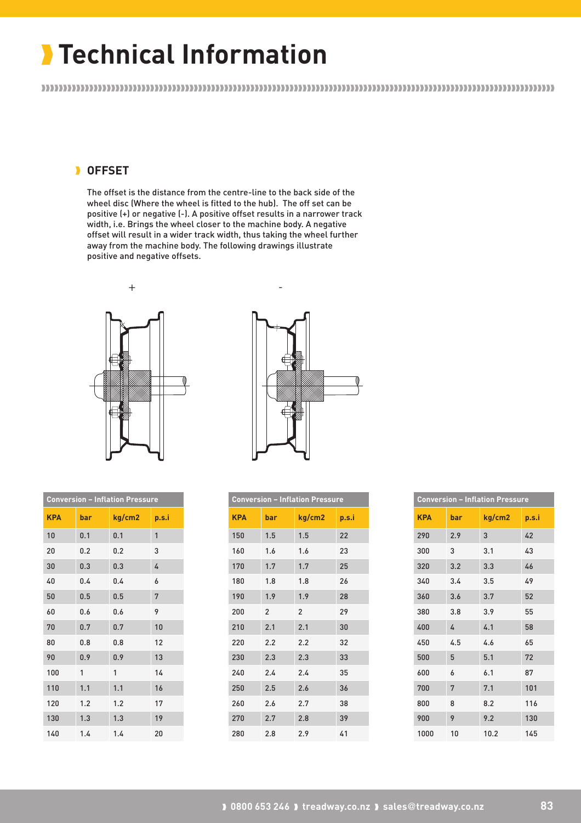### **OFFSET**

The offset is the distance from the centre-line to the back side of the wheel disc (Where the wheel is fitted to the hub). The off set can be positive (+) or negative (-). A positive offset results in a narrower track width, i.e. Brings the wheel closer to the machine body. A negative offset will result in a wider track width, thus taking the wheel further away from the machine body. The following drawings illustrate positive and negative offsets.





| <b>Conversion - Inflation Pressure</b> |     |        |       |  |  |  |  |  |
|----------------------------------------|-----|--------|-------|--|--|--|--|--|
| <b>KPA</b>                             | bar | kg/cm2 | p.s.i |  |  |  |  |  |
| 10                                     | 0.1 | 0.1    | 1     |  |  |  |  |  |
| 20                                     | 0.2 | 0.2    | 3     |  |  |  |  |  |
| 30                                     | 0.3 | 0.3    | 4     |  |  |  |  |  |
| 40                                     | 0.4 | 0.4    | 6     |  |  |  |  |  |
| 50                                     | 0.5 | 0.5    | 7     |  |  |  |  |  |
| 60                                     | 0.6 | 0.6    | 9     |  |  |  |  |  |
| 70                                     | 0.7 | 0.7    | 10    |  |  |  |  |  |
| 80                                     | 0.8 | 0.8    | 12    |  |  |  |  |  |
| 90                                     | 0.9 | 0.9    | 13    |  |  |  |  |  |
| 100                                    | 1   | 1      | 14    |  |  |  |  |  |
| 110                                    | 1.1 | 1.1    | 16    |  |  |  |  |  |
| 120                                    | 1.2 | 1.2    | 17    |  |  |  |  |  |
| 130                                    | 1.3 | 1.3    | 19    |  |  |  |  |  |
| 140                                    | 1.4 | 1.4    | 20    |  |  |  |  |  |

| <b>Conversion - Inflation Pressure</b> |                |               |       |  |  |  |  |  |  |  |
|----------------------------------------|----------------|---------------|-------|--|--|--|--|--|--|--|
| <b>KPA</b>                             | bar            | kg/cm2        | p.s.i |  |  |  |  |  |  |  |
| 150                                    | 1.5            | 1.5           | 22    |  |  |  |  |  |  |  |
| 160                                    | 1.6            | 1.6           | 23    |  |  |  |  |  |  |  |
| 170                                    | 1.7            | 1.7           | 25    |  |  |  |  |  |  |  |
| 180                                    | 1.8            | 1.8           | 26    |  |  |  |  |  |  |  |
| 190                                    | 1.9            | 1.9           | 28    |  |  |  |  |  |  |  |
| 200                                    | $\mathfrak{p}$ | $\mathcal{P}$ | 29    |  |  |  |  |  |  |  |
| 210                                    | 2.1            | 2.1           | 30    |  |  |  |  |  |  |  |
| 220                                    | 2.2            | 2.2           | 32    |  |  |  |  |  |  |  |
| 230                                    | 2.3            | 2.3           | 33    |  |  |  |  |  |  |  |
| 240                                    | 2.4            | 2.4           | 35    |  |  |  |  |  |  |  |
| 250                                    | 2.5            | 2.6           | 36    |  |  |  |  |  |  |  |
| 260                                    | 2.6            | 2.7           | 38    |  |  |  |  |  |  |  |
| 270                                    | 2.7            | 2.8           | 39    |  |  |  |  |  |  |  |
| 280                                    | 2.8            | 2.9           | 41    |  |  |  |  |  |  |  |

| <b>Conversion - Inflation Pressure</b> |     |        |       |  |  |  |  |  |
|----------------------------------------|-----|--------|-------|--|--|--|--|--|
| <b>KPA</b>                             | bar | kg/cm2 | p.s.i |  |  |  |  |  |
| 290                                    | 2.9 | 3      | 42    |  |  |  |  |  |
| 300                                    | 3   | 3.1    | 43    |  |  |  |  |  |
| 320                                    | 3.2 | 3.3    | 46    |  |  |  |  |  |
| 340                                    | 3.4 | 3.5    | 49    |  |  |  |  |  |
| 360                                    | 3.6 | 3.7    | 52    |  |  |  |  |  |
| 380                                    | 3.8 | 3.9    | 55    |  |  |  |  |  |
| 400                                    | 4   | 4.1    | 58    |  |  |  |  |  |
| 450                                    | 4.5 | 4.6    | 65    |  |  |  |  |  |
| 500                                    | 5   | 5.1    | 72    |  |  |  |  |  |
| 600                                    | 6   | 6.1    | 87    |  |  |  |  |  |
| 700                                    | 7   | 7.1    | 101   |  |  |  |  |  |
| 800                                    | 8   | 8.2    | 116   |  |  |  |  |  |
| 900                                    | 9   | 9.2    | 130   |  |  |  |  |  |
| 1000                                   | 10  | 10.2   | 145   |  |  |  |  |  |